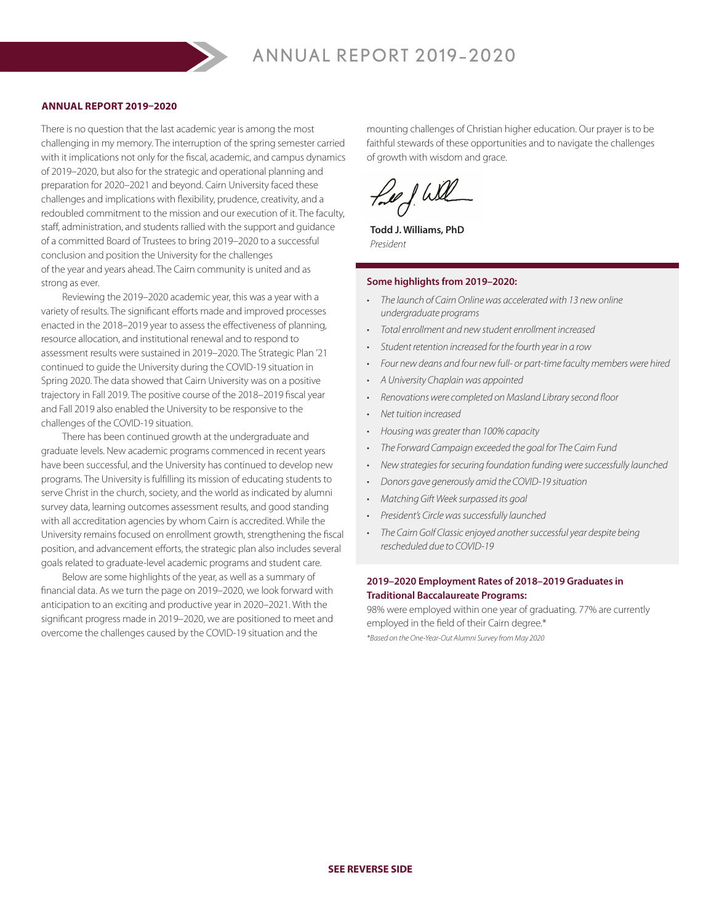## **ANNUAL REPORT 2019–2020**

There is no question that the last academic year is among the most challenging in my memory. The interruption of the spring semester carried with it implications not only for the fiscal, academic, and campus dynamics of 2019–2020, but also for the strategic and operational planning and preparation for 2020–2021 and beyond. Cairn University faced these challenges and implications with flexibility, prudence, creativity, and a redoubled commitment to the mission and our execution of it. The faculty, staff, administration, and students rallied with the support and guidance of a committed Board of Trustees to bring 2019–2020 to a successful conclusion and position the University for the challenges of the year and years ahead. The Cairn community is united and as strong as ever.

Reviewing the 2019–2020 academic year, this was a year with a variety of results. The significant efforts made and improved processes enacted in the 2018–2019 year to assess the effectiveness of planning, resource allocation, and institutional renewal and to respond to assessment results were sustained in 2019–2020. The Strategic Plan '21 continued to guide the University during the COVID-19 situation in Spring 2020. The data showed that Cairn University was on a positive trajectory in Fall 2019. The positive course of the 2018–2019 fiscal year and Fall 2019 also enabled the University to be responsive to the challenges of the COVID-19 situation.

There has been continued growth at the undergraduate and graduate levels. New academic programs commenced in recent years have been successful, and the University has continued to develop new programs. The University is fulfilling its mission of educating students to serve Christ in the church, society, and the world as indicated by alumni survey data, learning outcomes assessment results, and good standing with all accreditation agencies by whom Cairn is accredited. While the University remains focused on enrollment growth, strengthening the fiscal position, and advancement efforts, the strategic plan also includes several goals related to graduate-level academic programs and student care.

Below are some highlights of the year, as well as a summary of financial data. As we turn the page on 2019–2020, we look forward with anticipation to an exciting and productive year in 2020–2021. With the significant progress made in 2019–2020, we are positioned to meet and overcome the challenges caused by the COVID-19 situation and the

mounting challenges of Christian higher education. Our prayer is to be faithful stewards of these opportunities and to navigate the challenges of growth with wisdom and grace.

feel will

**Todd J. Williams, PhD** *President*

## **Some highlights from 2019–2020:**

- *• The launch of Cairn Online was accelerated with 13 new online undergraduate programs*
- *• Total enrollment and new student enrollment increased*
- *• Student retention increased for the fourth year in a row*
- *• Four new deans and four new full- or part-time faculty members were hired*
- *• A University Chaplain was appointed*
- *• Renovations were completed on Masland Library second floor*
- *• Net tuition increased*
- *• Housing was greater than 100% capacity*
- *• The Forward Campaign exceeded the goal for The Cairn Fund*
- *• New strategies for securing foundation funding were successfully launched*
- *• Donors gave generously amid the COVID-19 situation*
- *• Matching Gift Week surpassed its goal*
- *• President's Circle was successfully launched*
- *• The Cairn Golf Classic enjoyed another successful year despite being rescheduled due to COVID-19*

## **2019–2020 Employment Rates of 2018–2019 Graduates in Traditional Baccalaureate Programs:**

98% were employed within one year of graduating. 77% are currently employed in the field of their Cairn degree.\*

*\*Based on the One-Year-Out Alumni Survey from May 2020*